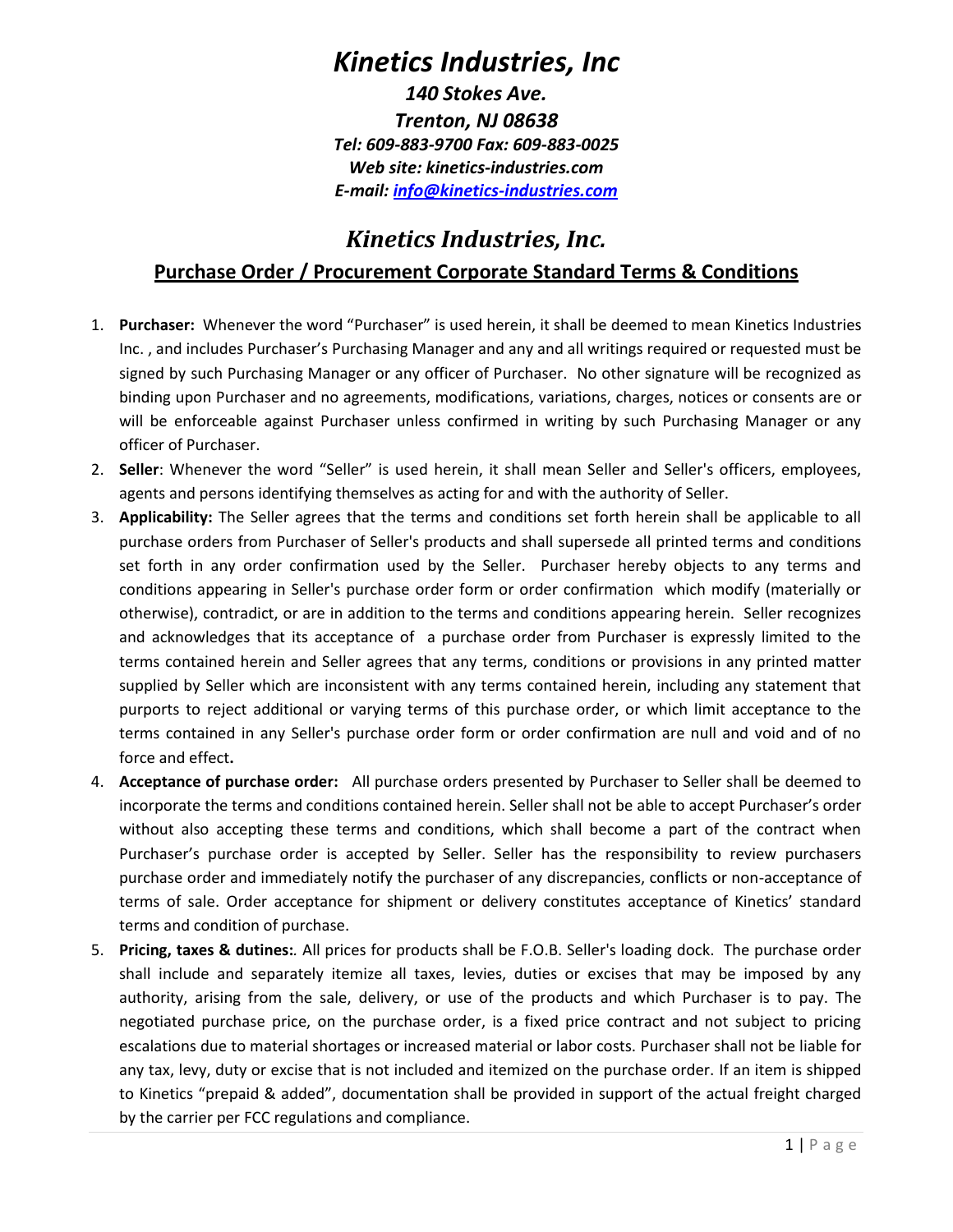## *Kinetics Industries, Inc*

*140 Stokes Ave. Trenton, NJ 08638 Tel: 609-883-9700 Fax: 609-883-0025 Web site: kinetics-industries.com E-mail: info@kinetics-industries.com*

### *Kinetics Industries, Inc.* **Purchase Order / Procurement Corporate Standard Terms & Conditions**

- 1. **Purchaser:** Whenever the word "Purchaser" is used herein, it shall be deemed to mean Kinetics Industries Inc. , and includes Purchaser's Purchasing Manager and any and all writings required or requested must be signed by such Purchasing Manager or any officer of Purchaser. No other signature will be recognized as binding upon Purchaser and no agreements, modifications, variations, charges, notices or consents are or will be enforceable against Purchaser unless confirmed in writing by such Purchasing Manager or any officer of Purchaser.
- 2. **Seller**: Whenever the word "Seller" is used herein, it shall mean Seller and Seller's officers, employees, agents and persons identifying themselves as acting for and with the authority of Seller.
- 3. **Applicability:** The Seller agrees that the terms and conditions set forth herein shall be applicable to all purchase orders from Purchaser of Seller's products and shall supersede all printed terms and conditions set forth in any order confirmation used by the Seller. Purchaser hereby objects to any terms and conditions appearing in Seller's purchase order form or order confirmation which modify (materially or otherwise), contradict, or are in addition to the terms and conditions appearing herein. Seller recognizes and acknowledges that its acceptance of a purchase order from Purchaser is expressly limited to the terms contained herein and Seller agrees that any terms, conditions or provisions in any printed matter supplied by Seller which are inconsistent with any terms contained herein, including any statement that purports to reject additional or varying terms of this purchase order, or which limit acceptance to the terms contained in any Seller's purchase order form or order confirmation are null and void and of no force and effect**.**
- 4. **Acceptance of purchase order:** All purchase orders presented by Purchaser to Seller shall be deemed to incorporate the terms and conditions contained herein. Seller shall not be able to accept Purchaser's order without also accepting these terms and conditions, which shall become a part of the contract when Purchaser's purchase order is accepted by Seller. Seller has the responsibility to review purchasers purchase order and immediately notify the purchaser of any discrepancies, conflicts or non-acceptance of terms of sale. Order acceptance for shipment or delivery constitutes acceptance of Kinetics' standard terms and condition of purchase.
- 5. **Pricing, taxes & dutines:***.* All prices for products shall be F.O.B. Seller's loading dock. The purchase order shall include and separately itemize all taxes, levies, duties or excises that may be imposed by any authority, arising from the sale, delivery, or use of the products and which Purchaser is to pay. The negotiated purchase price, on the purchase order, is a fixed price contract and not subject to pricing escalations due to material shortages or increased material or labor costs. Purchaser shall not be liable for any tax, levy, duty or excise that is not included and itemized on the purchase order. If an item is shipped to Kinetics "prepaid & added", documentation shall be provided in support of the actual freight charged by the carrier per FCC regulations and compliance.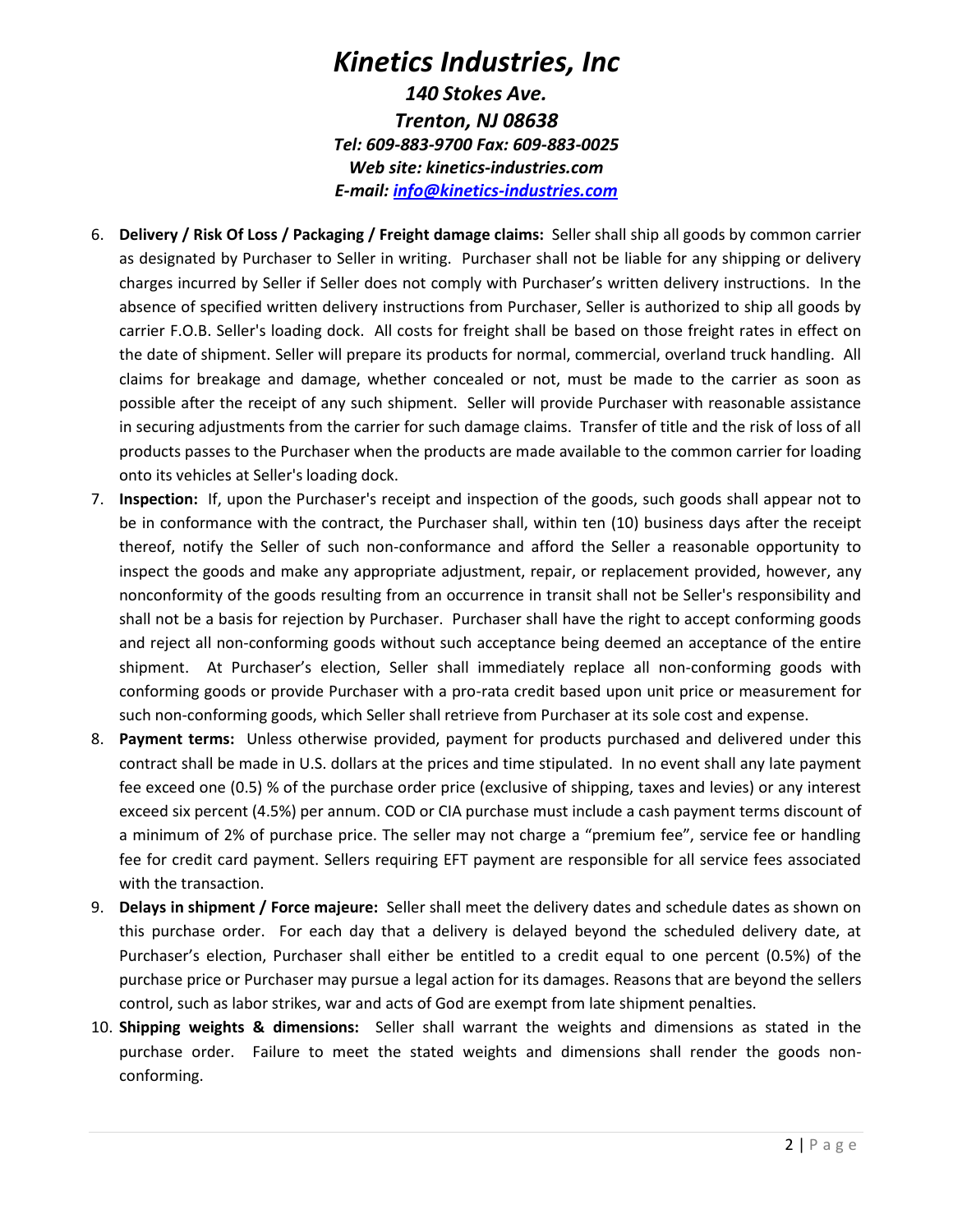#### *Kinetics Industries, Inc 140 Stokes Ave. Trenton, NJ 08638 Tel: 609-883-9700 Fax: 609-883-0025 Web site: kinetics-industries.com E-mail: info@kinetics-industries.com*

- 6. **Delivery / Risk Of Loss / Packaging / Freight damage claims:** Seller shall ship all goods by common carrier as designated by Purchaser to Seller in writing. Purchaser shall not be liable for any shipping or delivery charges incurred by Seller if Seller does not comply with Purchaser's written delivery instructions. In the absence of specified written delivery instructions from Purchaser, Seller is authorized to ship all goods by carrier F.O.B. Seller's loading dock. All costs for freight shall be based on those freight rates in effect on the date of shipment. Seller will prepare its products for normal, commercial, overland truck handling. All claims for breakage and damage, whether concealed or not, must be made to the carrier as soon as possible after the receipt of any such shipment. Seller will provide Purchaser with reasonable assistance in securing adjustments from the carrier for such damage claims. Transfer of title and the risk of loss of all products passes to the Purchaser when the products are made available to the common carrier for loading onto its vehicles at Seller's loading dock.
- 7. **Inspection:** If, upon the Purchaser's receipt and inspection of the goods, such goods shall appear not to be in conformance with the contract, the Purchaser shall, within ten (10) business days after the receipt thereof, notify the Seller of such non-conformance and afford the Seller a reasonable opportunity to inspect the goods and make any appropriate adjustment, repair, or replacement provided, however, any nonconformity of the goods resulting from an occurrence in transit shall not be Seller's responsibility and shall not be a basis for rejection by Purchaser. Purchaser shall have the right to accept conforming goods and reject all non-conforming goods without such acceptance being deemed an acceptance of the entire shipment. At Purchaser's election, Seller shall immediately replace all non-conforming goods with conforming goods or provide Purchaser with a pro-rata credit based upon unit price or measurement for such non-conforming goods, which Seller shall retrieve from Purchaser at its sole cost and expense.
- 8. **Payment terms:** Unless otherwise provided, payment for products purchased and delivered under this contract shall be made in U.S. dollars at the prices and time stipulated. In no event shall any late payment fee exceed one (0.5) % of the purchase order price (exclusive of shipping, taxes and levies) or any interest exceed six percent (4.5%) per annum. COD or CIA purchase must include a cash payment terms discount of a minimum of 2% of purchase price. The seller may not charge a "premium fee", service fee or handling fee for credit card payment. Sellers requiring EFT payment are responsible for all service fees associated with the transaction.
- 9. **Delays in shipment / Force majeure:** Seller shall meet the delivery dates and schedule dates as shown on this purchase order. For each day that a delivery is delayed beyond the scheduled delivery date, at Purchaser's election, Purchaser shall either be entitled to a credit equal to one percent (0.5%) of the purchase price or Purchaser may pursue a legal action for its damages. Reasons that are beyond the sellers control, such as labor strikes, war and acts of God are exempt from late shipment penalties.
- 10. **Shipping weights & dimensions:** Seller shall warrant the weights and dimensions as stated in the purchase order. Failure to meet the stated weights and dimensions shall render the goods nonconforming.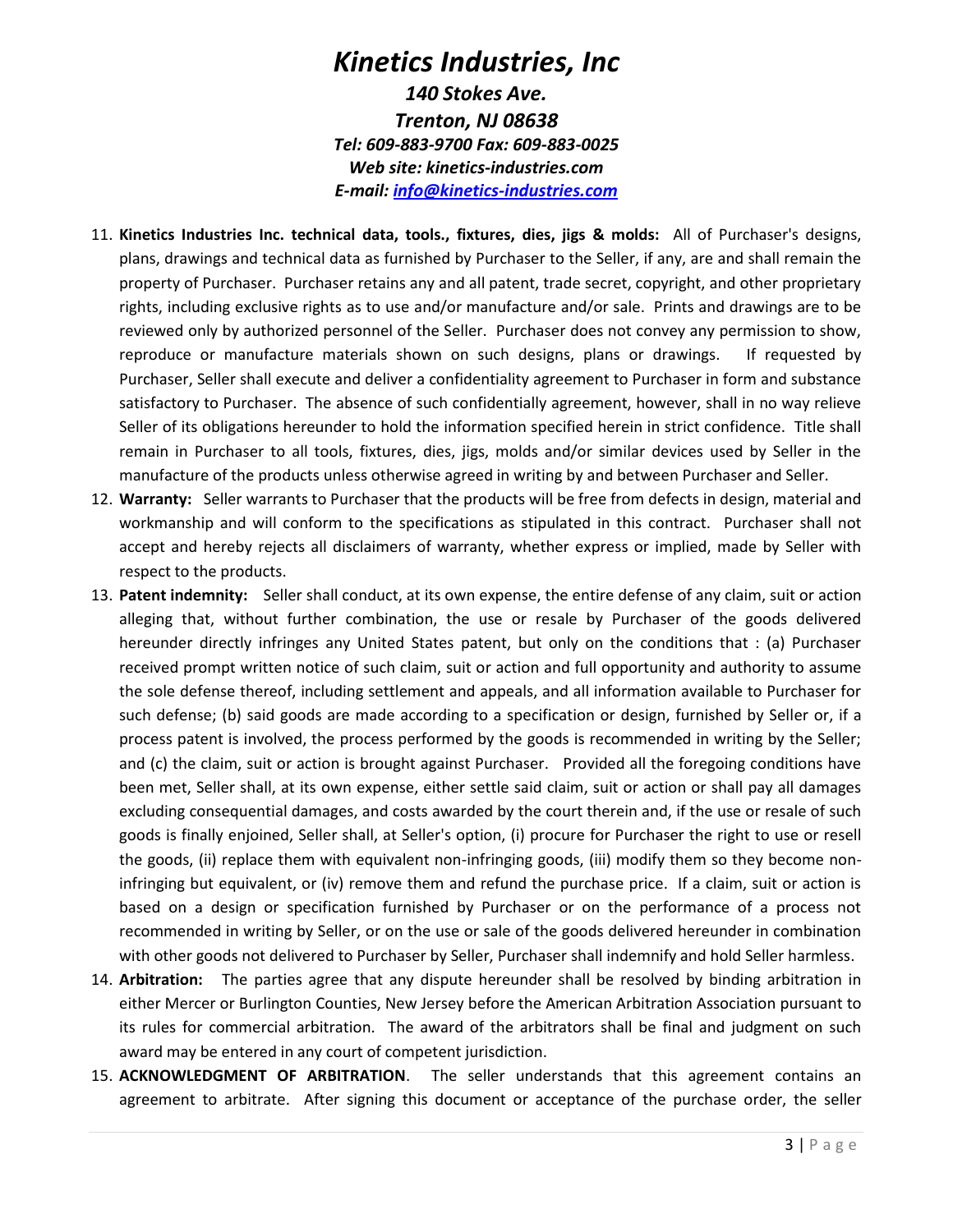#### *Kinetics Industries, Inc 140 Stokes Ave. Trenton, NJ 08638 Tel: 609-883-9700 Fax: 609-883-0025 Web site: kinetics-industries.com E-mail: info@kinetics-industries.com*

- 11. **Kinetics Industries Inc. technical data, tools., fixtures, dies, jigs & molds:** All of Purchaser's designs, plans, drawings and technical data as furnished by Purchaser to the Seller, if any, are and shall remain the property of Purchaser. Purchaser retains any and all patent, trade secret, copyright, and other proprietary rights, including exclusive rights as to use and/or manufacture and/or sale. Prints and drawings are to be reviewed only by authorized personnel of the Seller. Purchaser does not convey any permission to show, reproduce or manufacture materials shown on such designs, plans or drawings. If requested by Purchaser, Seller shall execute and deliver a confidentiality agreement to Purchaser in form and substance satisfactory to Purchaser. The absence of such confidentially agreement, however, shall in no way relieve Seller of its obligations hereunder to hold the information specified herein in strict confidence. Title shall remain in Purchaser to all tools, fixtures, dies, jigs, molds and/or similar devices used by Seller in the manufacture of the products unless otherwise agreed in writing by and between Purchaser and Seller.
- 12. **Warranty:** Seller warrants to Purchaser that the products will be free from defects in design, material and workmanship and will conform to the specifications as stipulated in this contract. Purchaser shall not accept and hereby rejects all disclaimers of warranty, whether express or implied, made by Seller with respect to the products.
- 13. **Patent indemnity:**Seller shall conduct, at its own expense, the entire defense of any claim, suit or action alleging that, without further combination, the use or resale by Purchaser of the goods delivered hereunder directly infringes any United States patent, but only on the conditions that : (a) Purchaser received prompt written notice of such claim, suit or action and full opportunity and authority to assume the sole defense thereof, including settlement and appeals, and all information available to Purchaser for such defense; (b) said goods are made according to a specification or design, furnished by Seller or, if a process patent is involved, the process performed by the goods is recommended in writing by the Seller; and (c) the claim, suit or action is brought against Purchaser. Provided all the foregoing conditions have been met, Seller shall, at its own expense, either settle said claim, suit or action or shall pay all damages excluding consequential damages, and costs awarded by the court therein and, if the use or resale of such goods is finally enjoined, Seller shall, at Seller's option, (i) procure for Purchaser the right to use or resell the goods, (ii) replace them with equivalent non-infringing goods, (iii) modify them so they become noninfringing but equivalent, or (iv) remove them and refund the purchase price. If a claim, suit or action is based on a design or specification furnished by Purchaser or on the performance of a process not recommended in writing by Seller, or on the use or sale of the goods delivered hereunder in combination with other goods not delivered to Purchaser by Seller, Purchaser shall indemnify and hold Seller harmless.
- 14. **Arbitration:** The parties agree that any dispute hereunder shall be resolved by binding arbitration in either Mercer or Burlington Counties, New Jersey before the American Arbitration Association pursuant to its rules for commercial arbitration. The award of the arbitrators shall be final and judgment on such award may be entered in any court of competent jurisdiction.
- 15. **ACKNOWLEDGMENT OF ARBITRATION**. The seller understands that this agreement contains an agreement to arbitrate. After signing this document or acceptance of the purchase order, the seller